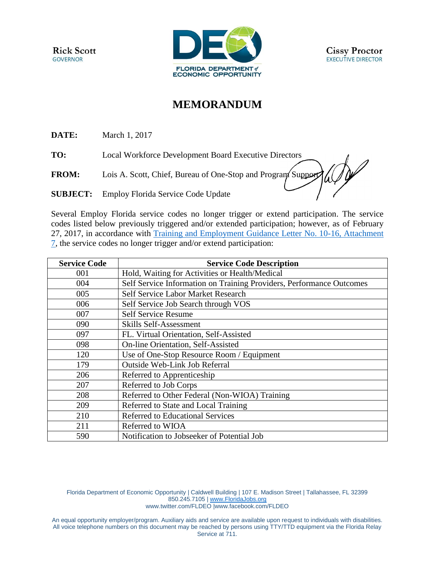

## **MEMORANDUM**

**DATE:** March 1, 2017

**TO:** Local Workforce Development Board Executive Directors

**FROM:** Lois A. Scott, Chief, Bureau of One-Stop and Program Support

**SUBJECT:** Employ Florida Service Code Update

Several Employ Florida service codes no longer trigger or extend participation. The service codes listed below previously triggered and/or extended participation; however, as of February 27, 2017, in accordance with [Training and Employment Guidance Letter No. 10-16, Attachment](https://wdr.doleta.gov/directives/corr_doc.cfm?DOCN=8226)  [7,](https://wdr.doleta.gov/directives/corr_doc.cfm?DOCN=8226) the service codes no longer trigger and/or extend participation:

| <b>Service Code</b> | <b>Service Code Description</b>                                      |
|---------------------|----------------------------------------------------------------------|
| 001                 | Hold, Waiting for Activities or Health/Medical                       |
| 004                 | Self Service Information on Training Providers, Performance Outcomes |
| 005                 | Self Service Labor Market Research                                   |
| 006                 | Self Service Job Search through VOS                                  |
| 007                 | <b>Self Service Resume</b>                                           |
| 090                 | Skills Self-Assessment                                               |
| 097                 | FL. Virtual Orientation, Self-Assisted                               |
| 098                 | On-line Orientation, Self-Assisted                                   |
| 120                 | Use of One-Stop Resource Room / Equipment                            |
| 179                 | <b>Outside Web-Link Job Referral</b>                                 |
| 206                 | Referred to Apprenticeship                                           |
| 207                 | Referred to Job Corps                                                |
| 208                 | Referred to Other Federal (Non-WIOA) Training                        |
| 209                 | Referred to State and Local Training                                 |
| 210                 | <b>Referred to Educational Services</b>                              |
| 211                 | Referred to WIOA                                                     |
| 590                 | Notification to Jobseeker of Potential Job                           |

Florida Department of Economic Opportunity | Caldwell Building | 107 E. Madison Street | Tallahassee, FL 32399 850.245.7105 | [www.FloridaJobs.org](http://www.floridajobs.org/) [www.twitter.com/FLDEO](http://www.twitter.com/FLDEO) |www.facebook.com/FLDEO

An equal opportunity employer/program. Auxiliary aids and service are available upon request to individuals with disabilities. All voice telephone numbers on this document may be reached by persons using TTY/TTD equipment via the Florida Relay Service at 711.